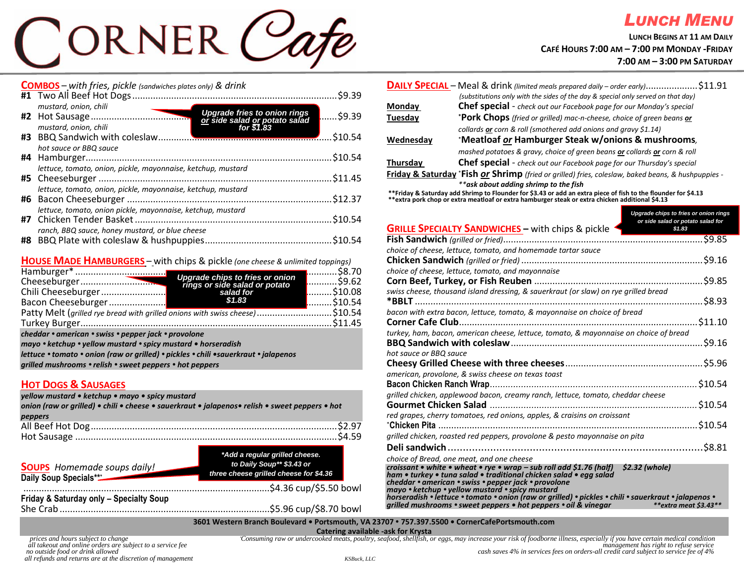

## *LUNCH MENU*

**LUNCH BEGINS AT 11 AM DAILY CAFÉ HOURS 7:00 AM – 7:00 PM MONDAY -FRIDAY**

#### **COMBOS** – *with fries, pickle (sandwiches plates only) & drink*

|    |                                                                                                                              |                                                                                           | \$9.39            |
|----|------------------------------------------------------------------------------------------------------------------------------|-------------------------------------------------------------------------------------------|-------------------|
|    | mustard, onion, chili<br>mustard, onion, chili                                                                               | Upgrade fries to onion rings<br><u>or</u> side salad <u>or</u> potato salad<br>for \$1.83 | \$9.39<br>\$10.54 |
|    | hot sauce or BBO sauce                                                                                                       |                                                                                           | \$10.54           |
|    | lettuce, tomato, onion, pickle, mayonnaise, ketchup, mustard<br>lettuce, tomato, onion, pickle, mayonnaise, ketchup, mustard |                                                                                           | \$11.45           |
|    |                                                                                                                              |                                                                                           | \$12.37           |
|    | lettuce, tomato, onion pickle, mayonnaise, ketchup, mustard                                                                  |                                                                                           | \$10.54           |
| #8 | ranch, BBQ sauce, honey mustard, or blue cheese                                                                              |                                                                                           |                   |

#### **HOUSE MADE HAMBURGERS** – with chips & pickle *(one cheese & unlimited toppings)*

|                                                                                                                                         |        | ∎…………\$8.70           |  |
|-----------------------------------------------------------------------------------------------------------------------------------------|--------|-----------------------|--|
|                                                                                                                                         |        | $\frac{1}{2}$ \$9.62  |  |
| Example parade chips to fries or onion<br>Cheeseburger measured that the contract of the chili Cheeseburger measured that the salad for |        | $\frac{1}{2}$ \$10.08 |  |
|                                                                                                                                         | \$1.83 | $\frac{1}{2}$ \$10.54 |  |
| Patty Melt (grilled rye bread with grilled onions with swiss cheese)\$10.54                                                             |        |                       |  |
|                                                                                                                                         |        |                       |  |
| cheddar • american • swiss • pepper jack • provolone                                                                                    |        |                       |  |
| mayo • ketchup • yellow mustard • spicy mustard • horseradish                                                                           |        |                       |  |
| lettuce • tomato • onion (raw or grilled) • pickles • chili • sauerkraut • jalapenos                                                    |        |                       |  |
| grilled mushrooms • relish • sweet peppers • hot peppers                                                                                |        |                       |  |
|                                                                                                                                         |        |                       |  |

## **HOT DOGS & SAUSAGES**

*yellow mustard • ketchup • mayo • spicy mustard* 

*onion (raw or grilled) • chili • cheese • sauerkraut • jalapenos• relish • sweet peppers • hot peppers* All Beef Hot Dog...............................................................................................\$2.97

**SOUPS** *Homemade soups daily!*  **Daily Soup Specials\*\* \***

*\*Add a regular grilled cheese. to Daily Soup\*\* \$3.43 or* 

**Friday & Saturday only – Specialty Soup** She Crab .................................................................................\$5.96 cup/\$8.70 bowl

*three cheese grilled cheese for \$4.36*

...............................................................................................\$4.36 cup/\$5.50 bowl

|           | <b>DAILY SPECIAL</b> - Meal & drink (limited meals prepared daily - order early)\$11.91            |
|-----------|----------------------------------------------------------------------------------------------------|
|           | (substitutions only with the sides of the day & special only served on that day)                   |
| Monday    | Chef special - check out our Facebook page for our Monday's special                                |
| Tuesday   | *Pork Chops (fried or grilled) mac-n-cheese, choice of green beans or                              |
|           | collards or corn & roll (smothered add onions and gravy \$1.14)                                    |
| Wednesday | *Meatloaf or Hamburger Steak w/onions & mushrooms,                                                 |
|           | mashed potatoes & gravy, choice of green beans or collards or corn & roll                          |
| Thursday  | <b>Chef special</b> - check out our Facebook page for our Thursday's special                       |
|           | Friday & Saturday *Fish or Shrimp (fried or grilled) fries, coleslaw, baked beans, & hushpuppies - |

*\*\*ask about adding shrimp to the fish*

**\*\*Friday & Saturday add Shrimp to Flounder for \$3.43 or add an extra piece of fish to the flounder for \$4.13 \*\*extra pork chop or extra meatloaf or extra hamburger steak or extra chicken additional \$4.13**

|                                                                                                                                                                                                                                                                                                                                                                                                                                                        | Upgrade chips to fries or onion rings<br>or side salad or potato salad for |
|--------------------------------------------------------------------------------------------------------------------------------------------------------------------------------------------------------------------------------------------------------------------------------------------------------------------------------------------------------------------------------------------------------------------------------------------------------|----------------------------------------------------------------------------|
| <b>GRILLE SPECIALTY SANDWICHES</b> – with chips & pickle                                                                                                                                                                                                                                                                                                                                                                                               | \$1.83                                                                     |
|                                                                                                                                                                                                                                                                                                                                                                                                                                                        | \$9.85                                                                     |
| choice of cheese, lettuce, tomato, and homemade tartar sauce                                                                                                                                                                                                                                                                                                                                                                                           |                                                                            |
|                                                                                                                                                                                                                                                                                                                                                                                                                                                        | \$9.16                                                                     |
| choice of cheese, lettuce, tomato, and mayonnaise                                                                                                                                                                                                                                                                                                                                                                                                      |                                                                            |
|                                                                                                                                                                                                                                                                                                                                                                                                                                                        | \$9.85                                                                     |
| swiss cheese, thousand island dressing, & sauerkraut (or slaw) on rye grilled bread                                                                                                                                                                                                                                                                                                                                                                    |                                                                            |
| $*$ BBLT $\ldots$                                                                                                                                                                                                                                                                                                                                                                                                                                      | \$8.93                                                                     |
| bacon with extra bacon, lettuce, tomato, & mayonnaise on choice of bread                                                                                                                                                                                                                                                                                                                                                                               |                                                                            |
|                                                                                                                                                                                                                                                                                                                                                                                                                                                        | \$11.10                                                                    |
| turkey, ham, bacon, american cheese, lettuce, tomato, & mayonnaise on choice of bread                                                                                                                                                                                                                                                                                                                                                                  |                                                                            |
|                                                                                                                                                                                                                                                                                                                                                                                                                                                        | \$9.16                                                                     |
| hot sauce or BBQ sauce                                                                                                                                                                                                                                                                                                                                                                                                                                 |                                                                            |
|                                                                                                                                                                                                                                                                                                                                                                                                                                                        | \$5.96                                                                     |
| american, provolone, & swiss cheese on texas toast                                                                                                                                                                                                                                                                                                                                                                                                     |                                                                            |
|                                                                                                                                                                                                                                                                                                                                                                                                                                                        | \$10.54                                                                    |
| grilled chicken, applewood bacon, creamy ranch, lettuce, tomato, cheddar cheese                                                                                                                                                                                                                                                                                                                                                                        |                                                                            |
| Gourmet Chicken Salad                                                                                                                                                                                                                                                                                                                                                                                                                                  | \$10.54                                                                    |
| red grapes, cherry tomatoes, red onions, apples, & craisins on croissant                                                                                                                                                                                                                                                                                                                                                                               |                                                                            |
|                                                                                                                                                                                                                                                                                                                                                                                                                                                        | \$10.54                                                                    |
| grilled chicken, roasted red peppers, provolone & pesto mayonnaise on pita                                                                                                                                                                                                                                                                                                                                                                             |                                                                            |
|                                                                                                                                                                                                                                                                                                                                                                                                                                                        |                                                                            |
| choice of Bread, one meat, and one cheese                                                                                                                                                                                                                                                                                                                                                                                                              |                                                                            |
| croissant • white • wheat • rye • wrap – sub roll add \$1.76 (half)<br>ham . turkey . tuna salad . traditional chicken salad . egg salad<br>cheddar • american • swiss • pepper jack • provolone<br>mayo • ketchup • yellow mustard • spicy mustard<br>horseradish • lettuce • tomato • onion (raw or grilled) • pickles • chili • sauerkraut • jalapenos •<br>grilled mushrooms $\bullet$ sweet peppers $\bullet$ hot peppers $\bullet$ oil & vinegar | \$2.32 (whole)<br>**extra meat \$3.43**                                    |

**3601 Western Branch Boulevard • Portsmouth, VA 23707 • 757.397.5500 • CornerCafePortsmouth.com**

**Catering available -ask for Krysta** 

 *prices and hours subject to change all takeout and online orders are subject to a service fee no outside food or drink allowed all refunds and returns are at the discretion of management*  \**Consuming raw or undercooked meats, poultry, seafood, shellfish, or eggs, may increase your risk of foodborne illness, especially if you have certain medical condition* 

 *no outside food or drink allowed cash saves 4% in services fees on orders-all credit card subject to service fee of 4%*